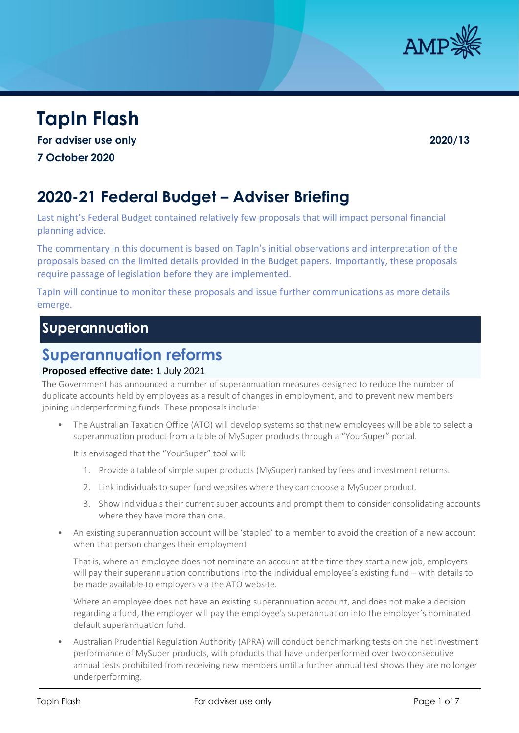

# **TapIn Flash**

**For adviser use only 2020/13**

**7 October 2020**

# **2020-21 Federal Budget – Adviser Briefing**

Last night's Federal Budget contained relatively few proposals that will impact personal financial planning advice.

The commentary in this document is based on TapIn's initial observations and interpretation of the proposals based on the limited details provided in the Budget papers. Importantly, these proposals require passage of legislation before they are implemented.

TapIn will continue to monitor these proposals and issue further communications as more details emerge.

# **Superannuation**

# **Superannuation reforms**

### **Proposed effective date:** 1 July 2021

The Government has announced a number of superannuation measures designed to reduce the number of duplicate accounts held by employees as a result of changes in employment, and to prevent new members joining underperforming funds. These proposals include:

• The Australian Taxation Office (ATO) will develop systems so that new employees will be able to select a superannuation product from a table of MySuper products through a "YourSuper" portal.

It is envisaged that the "YourSuper" tool will:

- 1. Provide a table of simple super products (MySuper) ranked by fees and investment returns.
- 2. Link individuals to super fund websites where they can choose a MySuper product.
- 3. Show individuals their current super accounts and prompt them to consider consolidating accounts where they have more than one.
- An existing superannuation account will be 'stapled' to a member to avoid the creation of a new account when that person changes their employment.

That is, where an employee does not nominate an account at the time they start a new job, employers will pay their superannuation contributions into the individual employee's existing fund – with details to be made available to employers via the ATO website.

Where an employee does not have an existing superannuation account, and does not make a decision regarding a fund, the employer will pay the employee's superannuation into the employer's nominated default superannuation fund.

• Australian Prudential Regulation Authority (APRA) will conduct benchmarking tests on the net investment performance of MySuper products, with products that have underperformed over two consecutive annual tests prohibited from receiving new members until a further annual test shows they are no longer underperforming.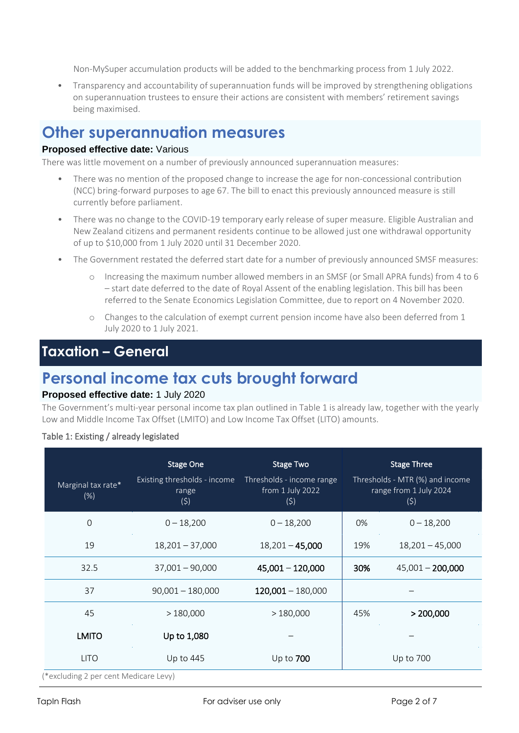Non-MySuper accumulation products will be added to the benchmarking process from 1 July 2022.

• Transparency and accountability of superannuation funds will be improved by strengthening obligations on superannuation trustees to ensure their actions are consistent with members' retirement savings being maximised.

## **Other superannuation measures**

#### **Proposed effective date:** Various

There was little movement on a number of previously announced superannuation measures:

- There was no mention of the proposed change to increase the age for non-concessional contribution (NCC) bring-forward purposes to age 67. The bill to enact this previously announced measure is still currently before parliament.
- There was no change to the COVID-19 temporary early release of super measure. Eligible Australian and New Zealand citizens and permanent residents continue to be allowed just one withdrawal opportunity of up to \$10,000 from 1 July 2020 until 31 December 2020.
- The Government restated the deferred start date for a number of previously announced SMSF measures:
	- o Increasing the maximum number allowed members in an SMSF (or Small APRA funds) from 4 to 6 – start date deferred to the date of Royal Assent of the enabling legislation. This bill has been referred to the Senate Economics Legislation Committee, due to report on 4 November 2020.
	- o Changes to the calculation of exempt current pension income have also been deferred from 1 July 2020 to 1 July 2021.

# **Taxation – General**

# **Personal income tax cuts brought forward**

### **Proposed effective date:** 1 July 2020

The Government's multi-year personal income tax plan outlined in Table 1 is already law, together with the yearly Low and Middle Income Tax Offset (LMITO) and Low Income Tax Offset (LITO) amounts.

#### Table 1: Existing / already legislated

| Marginal tax rate*<br>(%)             | <b>Stage One</b><br>Existing thresholds - income<br>range<br>(5) | <b>Stage Two</b><br>Thresholds - income range<br>from 1 July 2022<br>(5) | <b>Stage Three</b><br>Thresholds - MTR (%) and income<br>range from 1 July 2024<br>(5) |                    |  |  |  |
|---------------------------------------|------------------------------------------------------------------|--------------------------------------------------------------------------|----------------------------------------------------------------------------------------|--------------------|--|--|--|
| $\mathbf 0$                           | $0 - 18,200$                                                     | $0 - 18,200$                                                             | 0%                                                                                     | $0 - 18,200$       |  |  |  |
| 19                                    | $18,201 - 37,000$                                                | $18,201 - 45,000$                                                        | 19%                                                                                    | $18,201 - 45,000$  |  |  |  |
| 32.5                                  | $37,001 - 90,000$                                                | $45,001 - 120,000$                                                       | 30%                                                                                    | $45,001 - 200,000$ |  |  |  |
| 37                                    | $90,001 - 180,000$                                               | $120,001 - 180,000$                                                      |                                                                                        |                    |  |  |  |
| 45                                    | >180,000                                                         | >180,000                                                                 | 45%                                                                                    | > 200,000          |  |  |  |
| <b>LMITO</b>                          | Up to 1,080                                                      |                                                                          |                                                                                        |                    |  |  |  |
| <b>LITO</b>                           | Up to 445                                                        | Up to 700                                                                | Up to 700                                                                              |                    |  |  |  |
| '*excluding 2 per cent Medicare Levy) |                                                                  |                                                                          |                                                                                        |                    |  |  |  |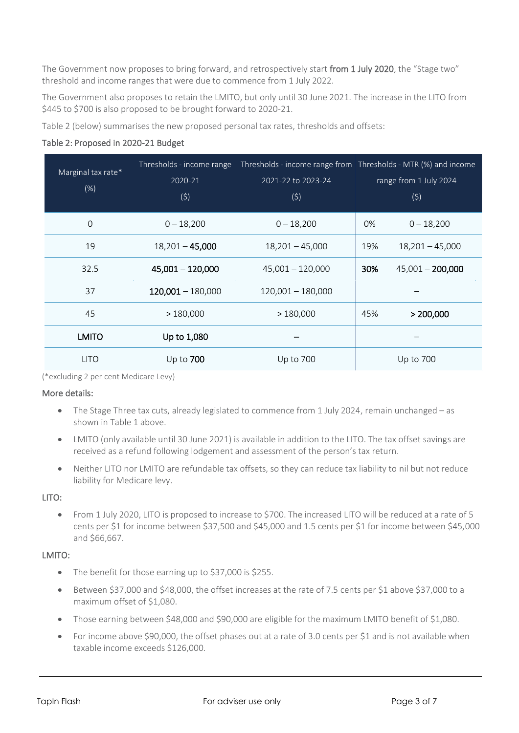The Government now proposes to bring forward, and retrospectively start from 1 July 2020, the "Stage two" threshold and income ranges that were due to commence from 1 July 2022.

The Government also proposes to retain the LMITO, but only until 30 June 2021. The increase in the LITO from \$445 to \$700 is also proposed to be brought forward to 2020-21.

Table 2 (below) summarises the new proposed personal tax rates, thresholds and offsets:

### Table 2: Proposed in 2020-21 Budget

| Marginal tax rate*<br>(%) | 2020-21<br>(5)      | 2021-22 to 2023-24<br>(5) | Thresholds - income range Thresholds - income range from Thresholds - MTR (%) and income<br>range from 1 July 2024<br>(5) |                    |
|---------------------------|---------------------|---------------------------|---------------------------------------------------------------------------------------------------------------------------|--------------------|
| $\mathbf 0$               | $0 - 18,200$        | $0 - 18,200$              | 0%                                                                                                                        | $0 - 18,200$       |
| 19                        | $18,201 - 45,000$   | $18,201 - 45,000$         | 19%                                                                                                                       | $18,201 - 45,000$  |
| 32.5                      | $45,001 - 120,000$  | $45,001 - 120,000$        | 30%                                                                                                                       | $45,001 - 200,000$ |
| 37                        | $120,001 - 180,000$ | $120,001 - 180,000$       |                                                                                                                           |                    |
| 45                        | >180,000            | >180,000                  | 45%                                                                                                                       | > 200,000          |
| <b>LMITO</b>              | Up to 1,080         |                           |                                                                                                                           |                    |
| <b>LITO</b>               | Up to $700$         | Up to 700                 |                                                                                                                           | Up to 700          |

(\*excluding 2 per cent Medicare Levy)

### More details:

- The Stage Three tax cuts, already legislated to commence from 1 July 2024, remain unchanged as shown in Table 1 above.
- LMITO (only available until 30 June 2021) is available in addition to the LITO. The tax offset savings are received as a refund following lodgement and assessment of the person's tax return.
- Neither LITO nor LMITO are refundable tax offsets, so they can reduce tax liability to nil but not reduce liability for Medicare levy.

### LITO:

• From 1 July 2020, LITO is proposed to increase to \$700. The increased LITO will be reduced at a rate of 5 cents per \$1 for income between \$37,500 and \$45,000 and 1.5 cents per \$1 for income between \$45,000 and \$66,667.

### LMITO:

- The benefit for those earning up to \$37,000 is \$255.
- Between \$37,000 and \$48,000, the offset increases at the rate of 7.5 cents per \$1 above \$37,000 to a maximum offset of \$1,080.
- Those earning between \$48,000 and \$90,000 are eligible for the maximum LMITO benefit of \$1,080.
- For income above \$90,000, the offset phases out at a rate of 3.0 cents per \$1 and is not available when taxable income exceeds \$126,000.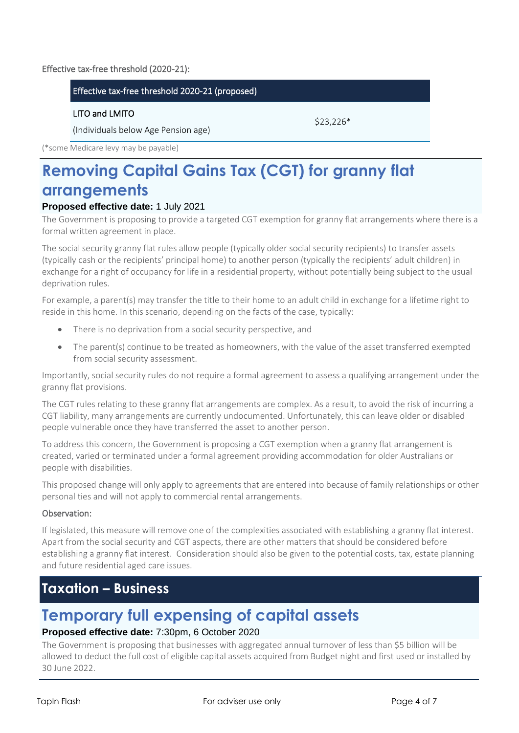### Effective tax-free threshold (2020-21):

### Effective tax-free threshold 2020-21 (proposed)

### LITO and LMITO

(Individuals below Age Pension age)

\$23,226\*

(\*some Medicare levy may be payable)

# **Removing Capital Gains Tax (CGT) for granny flat arrangements**

### **Proposed effective date:** 1 July 2021

The Government is proposing to provide a targeted CGT exemption for granny flat arrangements where there is a formal written agreement in place.

The social security granny flat rules allow people (typically older social security recipients) to transfer assets (typically cash or the recipients' principal home) to another person (typically the recipients' adult children) in exchange for a right of occupancy for life in a residential property, without potentially being subject to the usual deprivation rules.

For example, a parent(s) may transfer the title to their home to an adult child in exchange for a lifetime right to reside in this home. In this scenario, depending on the facts of the case, typically:

- There is no deprivation from a social security perspective, and
- The parent(s) continue to be treated as homeowners, with the value of the asset transferred exempted from social security assessment.

Importantly, social security rules do not require a formal agreement to assess a qualifying arrangement under the granny flat provisions.

The CGT rules relating to these granny flat arrangements are complex. As a result, to avoid the risk of incurring a CGT liability, many arrangements are currently undocumented. Unfortunately, this can leave older or disabled people vulnerable once they have transferred the asset to another person.

To address this concern, the Government is proposing a CGT exemption when a granny flat arrangement is created, varied or terminated under a formal agreement providing accommodation for older Australians or people with disabilities.

This proposed change will only apply to agreements that are entered into because of family relationships or other personal ties and will not apply to commercial rental arrangements.

### Observation:

If legislated, this measure will remove one of the complexities associated with establishing a granny flat interest. Apart from the social security and CGT aspects, there are other matters that should be considered before establishing a granny flat interest. Consideration should also be given to the potential costs, tax, estate planning and future residential aged care issues.

## **Taxation – Business**

# **Temporary full expensing of capital assets**

### **Proposed effective date:** 7:30pm, 6 October 2020

The Government is proposing that businesses with aggregated annual turnover of less than \$5 billion will be allowed to deduct the full cost of eligible capital assets acquired from Budget night and first used or installed by 30 June 2022.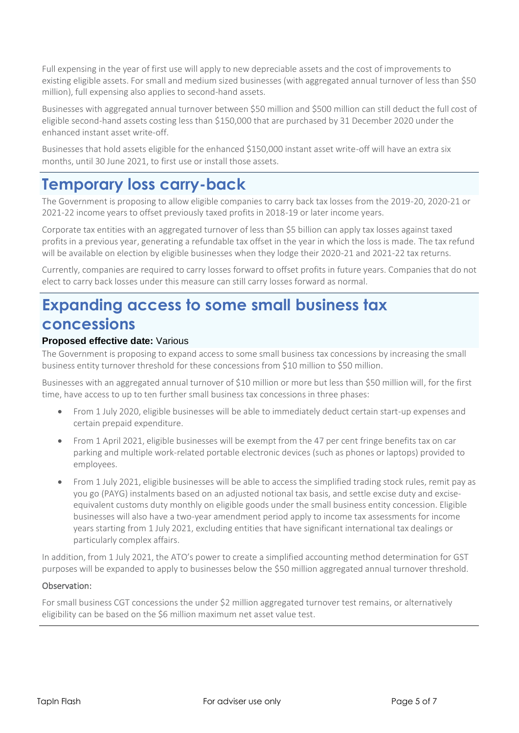Full expensing in the year of first use will apply to new depreciable assets and the cost of improvements to existing eligible assets. For small and medium sized businesses (with aggregated annual turnover of less than \$50 million), full expensing also applies to second-hand assets.

Businesses with aggregated annual turnover between \$50 million and \$500 million can still deduct the full cost of eligible second-hand assets costing less than \$150,000 that are purchased by 31 December 2020 under the enhanced instant asset write-off.

Businesses that hold assets eligible for the enhanced \$150,000 instant asset write-off will have an extra six months, until 30 June 2021, to first use or install those assets.

# **Temporary loss carry-back**

The Government is proposing to allow eligible companies to carry back tax losses from the 2019-20, 2020-21 or 2021-22 income years to offset previously taxed profits in 2018-19 or later income years.

Corporate tax entities with an aggregated turnover of less than \$5 billion can apply tax losses against taxed profits in a previous year, generating a refundable tax offset in the year in which the loss is made. The tax refund will be available on election by eligible businesses when they lodge their 2020-21 and 2021-22 tax returns.

Currently, companies are required to carry losses forward to offset profits in future years. Companies that do not elect to carry back losses under this measure can still carry losses forward as normal.

# **Expanding access to some small business tax concessions**

### **Proposed effective date:** Various

The Government is proposing to expand access to some small business tax concessions by increasing the small business entity turnover threshold for these concessions from \$10 million to \$50 million.

Businesses with an aggregated annual turnover of \$10 million or more but less than \$50 million will, for the first time, have access to up to ten further small business tax concessions in three phases:

- From 1 July 2020, eligible businesses will be able to immediately deduct certain start-up expenses and certain prepaid expenditure.
- From 1 April 2021, eligible businesses will be exempt from the 47 per cent fringe benefits tax on car parking and multiple work-related portable electronic devices (such as phones or laptops) provided to employees.
- From 1 July 2021, eligible businesses will be able to access the simplified trading stock rules, remit pay as you go (PAYG) instalments based on an adjusted notional tax basis, and settle excise duty and exciseequivalent customs duty monthly on eligible goods under the small business entity concession. Eligible businesses will also have a two-year amendment period apply to income tax assessments for income years starting from 1 July 2021, excluding entities that have significant international tax dealings or particularly complex affairs.

In addition, from 1 July 2021, the ATO's power to create a simplified accounting method determination for GST purposes will be expanded to apply to businesses below the \$50 million aggregated annual turnover threshold.

### Observation:

For small business CGT concessions the under \$2 million aggregated turnover test remains, or alternatively eligibility can be based on the \$6 million maximum net asset value test.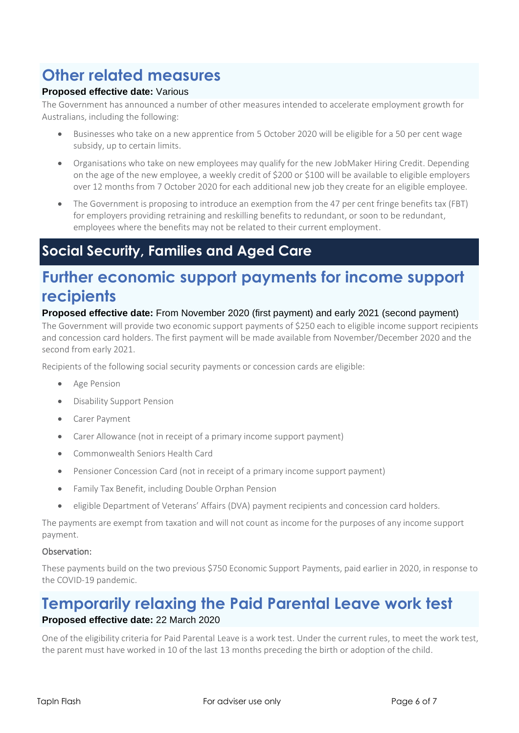# **Other related measures**

## **Proposed effective date:** Various

The Government has announced a number of other measures intended to accelerate employment growth for Australians, including the following:

- Businesses who take on a new apprentice from 5 October 2020 will be eligible for a 50 per cent wage subsidy, up to certain limits.
- Organisations who take on new employees may qualify for the new JobMaker Hiring Credit. Depending on the age of the new employee, a weekly credit of \$200 or \$100 will be available to eligible employers over 12 months from 7 October 2020 for each additional new job they create for an eligible employee.
- The Government is proposing to introduce an exemption from the 47 per cent fringe benefits tax (FBT) for employers providing retraining and reskilling benefits to redundant, or soon to be redundant, employees where the benefits may not be related to their current employment.

# **Social Security, Families and Aged Care**

# **Further economic support payments for income support recipients**

## **Proposed effective date:** From November 2020 (first payment) and early 2021 (second payment)

The Government will provide two economic support payments of \$250 each to eligible income support recipients and concession card holders. The first payment will be made available from November/December 2020 and the second from early 2021.

Recipients of the following social security payments or concession cards are eligible:

- Age Pension
- Disability Support Pension
- Carer Payment
- Carer Allowance (not in receipt of a primary income support payment)
- Commonwealth Seniors Health Card
- Pensioner Concession Card (not in receipt of a primary income support payment)
- Family Tax Benefit, including Double Orphan Pension
- eligible Department of Veterans' Affairs (DVA) payment recipients and concession card holders.

The payments are exempt from taxation and will not count as income for the purposes of any income support payment.

### Observation:

These payments build on the two previous \$750 Economic Support Payments, paid earlier in 2020, in response to the COVID-19 pandemic.

## **Temporarily relaxing the Paid Parental Leave work test Proposed effective date:** 22 March 2020

One of the eligibility criteria for Paid Parental Leave is a work test. Under the current rules, to meet the work test, the parent must have worked in 10 of the last 13 months preceding the birth or adoption of the child.